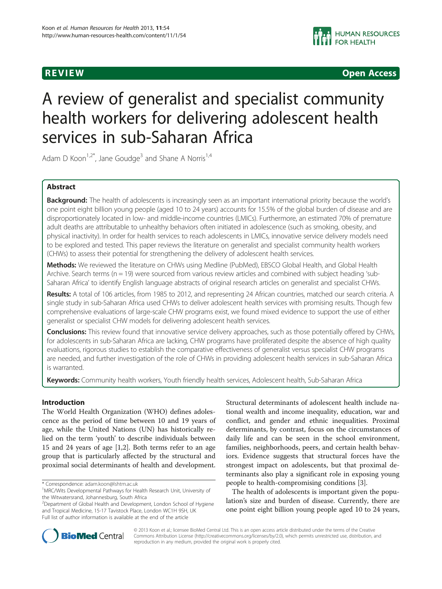**REVIEW REVIEW CONSTRUCTER ACCESS** 

# A review of generalist and specialist community health workers for delivering adolescent health services in sub-Saharan Africa

Adam D Koon<sup>1,2\*</sup>, Jane Goudge<sup>3</sup> and Shane A Norris<sup>1,4</sup>

# Abstract

Background: The health of adolescents is increasingly seen as an important international priority because the world's one point eight billion young people (aged 10 to 24 years) accounts for 15.5% of the global burden of disease and are disproportionately located in low- and middle-income countries (LMICs). Furthermore, an estimated 70% of premature adult deaths are attributable to unhealthy behaviors often initiated in adolescence (such as smoking, obesity, and physical inactivity). In order for health services to reach adolescents in LMICs, innovative service delivery models need to be explored and tested. This paper reviews the literature on generalist and specialist community health workers (CHWs) to assess their potential for strengthening the delivery of adolescent health services.

Methods: We reviewed the literature on CHWs using Medline (PubMed), EBSCO Global Health, and Global Health Archive. Search terms (n = 19) were sourced from various review articles and combined with subject heading 'sub-Saharan Africa' to identify English language abstracts of original research articles on generalist and specialist CHWs.

Results: A total of 106 articles, from 1985 to 2012, and representing 24 African countries, matched our search criteria. A single study in sub-Saharan Africa used CHWs to deliver adolescent health services with promising results. Though few comprehensive evaluations of large-scale CHW programs exist, we found mixed evidence to support the use of either generalist or specialist CHW models for delivering adolescent health services.

**Conclusions:** This review found that innovative service delivery approaches, such as those potentially offered by CHWs, for adolescents in sub-Saharan Africa are lacking, CHW programs have proliferated despite the absence of high quality evaluations, rigorous studies to establish the comparative effectiveness of generalist versus specialist CHW programs are needed, and further investigation of the role of CHWs in providing adolescent health services in sub-Saharan Africa is warranted.

Keywords: Community health workers, Youth friendly health services, Adolescent health, Sub-Saharan Africa

# Introduction

The World Health Organization (WHO) defines adolescence as the period of time between 10 and 19 years of age, while the United Nations (UN) has historically relied on the term 'youth' to describe individuals between 15 and 24 years of age [\[1,2](#page-7-0)]. Both terms refer to an age group that is particularly affected by the structural and proximal social determinants of health and development.

Structural determinants of adolescent health include national wealth and income inequality, education, war and conflict, and gender and ethnic inequalities. Proximal determinants, by contrast, focus on the circumstances of daily life and can be seen in the school environment, families, neighborhoods, peers, and certain health behaviors. Evidence suggests that structural forces have the strongest impact on adolescents, but that proximal determinants also play a significant role in exposing young people to health-compromising conditions [\[3](#page-7-0)].

The health of adolescents is important given the population's size and burden of disease. Currently, there are one point eight billion young people aged 10 to 24 years,



© 2013 Koon et al.; licensee BioMed Central Ltd. This is an open access article distributed under the terms of the Creative Commons Attribution License [\(http://creativecommons.org/licenses/by/2.0\)](http://creativecommons.org/licenses/by/2.0), which permits unrestricted use, distribution, and reproduction in any medium, provided the original work is properly cited.

<sup>\*</sup> Correspondence: [adam.koon@lshtm.ac.uk](mailto:adam.koon@lshtm.ac.uk) <sup>1</sup>

<sup>&</sup>lt;sup>1</sup> MRC/Wits Developmental Pathways for Health Research Unit, University of the Witwatersrand, Johannesburg, South Africa

<sup>2</sup> Department of Global Health and Development, London School of Hygiene and Tropical Medicine, 15-17 Tavistock Place, London WC1H 9SH, UK Full list of author information is available at the end of the article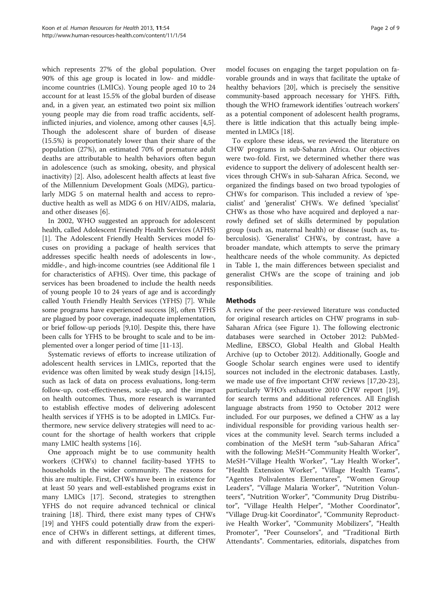which represents 27% of the global population. Over 90% of this age group is located in low- and middleincome countries (LMICs). Young people aged 10 to 24 account for at least 15.5% of the global burden of disease and, in a given year, an estimated two point six million young people may die from road traffic accidents, selfinflicted injuries, and violence, among other causes [\[4,5](#page-7-0)]. Though the adolescent share of burden of disease (15.5%) is proportionately lower than their share of the population (27%), an estimated 70% of premature adult deaths are attributable to health behaviors often begun in adolescence (such as smoking, obesity, and physical inactivity) [\[2](#page-7-0)]. Also, adolescent health affects at least five of the Millennium Development Goals (MDG), particularly MDG 5 on maternal health and access to reproductive health as well as MDG 6 on HIV/AIDS, malaria, and other diseases [[6\]](#page-7-0).

In 2002, WHO suggested an approach for adolescent health, called Adolescent Friendly Health Services (AFHS) [[1\]](#page-7-0). The Adolescent Friendly Health Services model focuses on providing a package of health services that addresses specific health needs of adolescents in low-, middle-, and high-income countries (see Additional file [1](#page-7-0) for characteristics of AFHS). Over time, this package of services has been broadened to include the health needs of young people 10 to 24 years of age and is accordingly called Youth Friendly Health Services (YFHS) [\[7](#page-7-0)]. While some programs have experienced success [\[8](#page-7-0)], often YFHS are plagued by poor coverage, inadequate implementation, or brief follow-up periods [[9,10](#page-7-0)]. Despite this, there have been calls for YFHS to be brought to scale and to be implemented over a longer period of time [[11](#page-7-0)-[13\]](#page-7-0).

Systematic reviews of efforts to increase utilization of adolescent health services in LMICs, reported that the evidence was often limited by weak study design [\[14,15](#page-7-0)], such as lack of data on process evaluations, long-term follow-up, cost-effectiveness, scale-up, and the impact on health outcomes. Thus, more research is warranted to establish effective modes of delivering adolescent health services if YFHS is to be adopted in LMICs. Furthermore, new service delivery strategies will need to account for the shortage of health workers that cripple many LMIC health systems [\[16](#page-7-0)].

One approach might be to use community health workers (CHWs) to channel facility-based YFHS to households in the wider community. The reasons for this are multiple. First, CHWs have been in existence for at least 50 years and well-established programs exist in many LMICs [\[17\]](#page-7-0). Second, strategies to strengthen YFHS do not require advanced technical or clinical training [[18\]](#page-7-0). Third, there exist many types of CHWs [[19\]](#page-7-0) and YHFS could potentially draw from the experience of CHWs in different settings, at different times, and with different responsibilities. Fourth, the CHW

model focuses on engaging the target population on favorable grounds and in ways that facilitate the uptake of healthy behaviors [[20\]](#page-7-0), which is precisely the sensitive community-based approach necessary for YHFS. Fifth, though the WHO framework identifies 'outreach workers' as a potential component of adolescent health programs, there is little indication that this actually being implemented in LMICs [[18](#page-7-0)].

To explore these ideas, we reviewed the literature on CHW programs in sub-Saharan Africa. Our objectives were two-fold. First, we determined whether there was evidence to support the delivery of adolescent health services through CHWs in sub-Saharan Africa. Second, we organized the findings based on two broad typologies of CHWs for comparison. This included a review of 'specialist' and 'generalist' CHWs. We defined 'specialist' CHWs as those who have acquired and deployed a narrowly defined set of skills determined by population group (such as, maternal health) or disease (such as, tuberculosis). 'Generalist' CHWs, by contrast, have a broader mandate, which attempts to serve the primary healthcare needs of the whole community. As depicted in Table [1](#page-2-0), the main differences between specialist and generalist CHWs are the scope of training and job responsibilities.

# **Methods**

A review of the peer-reviewed literature was conducted for original research articles on CHW programs in sub-Saharan Africa (see Figure [1](#page-3-0)). The following electronic databases were searched in October 2012: PubMed-Medline, EBSCO, Global Health and Global Health Archive (up to October 2012). Additionally, Google and Google Scholar search engines were used to identify sources not included in the electronic databases. Lastly, we made use of five important CHW reviews [\[17,20](#page-7-0)[-23](#page-8-0)], particularly WHO's exhaustive 2010 CHW report [\[19](#page-7-0)], for search terms and additional references. All English language abstracts from 1950 to October 2012 were included. For our purposes, we defined a CHW as a lay individual responsible for providing various health services at the community level. Search terms included a combination of the MeSH term "sub-Saharan Africa" with the following: MeSH-"Community Health Worker", MeSH-"Village Health Worker", "Lay Health Worker", "Health Extension Worker", "Village Health Teams", "Agentes Polivalentes Elementares", "Women Group Leaders", "Village Malaria Worker", "Nutrition Volunteers", "Nutrition Worker", "Community Drug Distributor", "Village Health Helper", "Mother Coordinator", "Village Drug-kit Coordinator", "Community Reproductive Health Worker", "Community Mobilizers", "Health Promoter", "Peer Counselors", and "Traditional Birth Attendants". Commentaries, editorials, dispatches from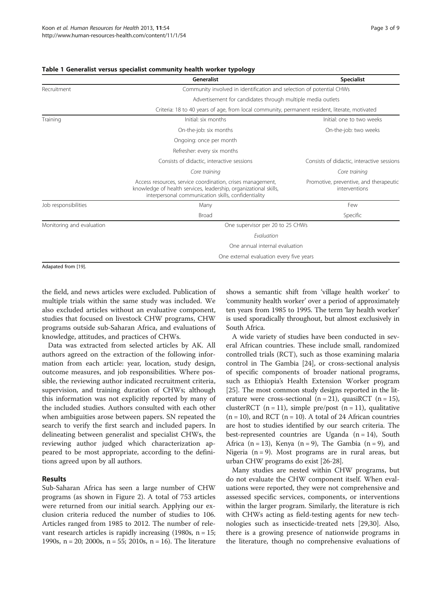|                           | Generalist                                                                                                                                                                            | <b>Specialist</b>                                       |  |  |  |  |  |  |
|---------------------------|---------------------------------------------------------------------------------------------------------------------------------------------------------------------------------------|---------------------------------------------------------|--|--|--|--|--|--|
| Recruitment               | Community involved in identification and selection of potential CHWs                                                                                                                  |                                                         |  |  |  |  |  |  |
|                           | Advertisement for candidates through multiple media outlets                                                                                                                           |                                                         |  |  |  |  |  |  |
|                           | Criteria: 18 to 40 years of age, from local community, permanent resident, literate, motivated                                                                                        |                                                         |  |  |  |  |  |  |
| Training                  | Initial: six months                                                                                                                                                                   | Initial: one to two weeks                               |  |  |  |  |  |  |
|                           | On-the-job: six months                                                                                                                                                                | On-the-job: two weeks                                   |  |  |  |  |  |  |
|                           | Ongoing: once per month                                                                                                                                                               |                                                         |  |  |  |  |  |  |
|                           | Refresher: every six months                                                                                                                                                           |                                                         |  |  |  |  |  |  |
|                           | Consists of didactic, interactive sessions                                                                                                                                            | Consists of didactic, interactive sessions              |  |  |  |  |  |  |
|                           | Core training                                                                                                                                                                         | Core training                                           |  |  |  |  |  |  |
|                           | Access resources, service coordination, crises management,<br>knowledge of health services, leadership, organizational skills,<br>interpersonal communication skills, confidentiality | Promotive, preventive, and therapeutic<br>interventions |  |  |  |  |  |  |
| Job responsibilities      | Many                                                                                                                                                                                  | Few                                                     |  |  |  |  |  |  |
|                           | <b>Broad</b>                                                                                                                                                                          | Specific                                                |  |  |  |  |  |  |
| Monitoring and evaluation | One supervisor per 20 to 25 CHWs                                                                                                                                                      |                                                         |  |  |  |  |  |  |
|                           | Fvaluation                                                                                                                                                                            |                                                         |  |  |  |  |  |  |
|                           | One annual internal evaluation                                                                                                                                                        |                                                         |  |  |  |  |  |  |
|                           | One external evaluation every five years                                                                                                                                              |                                                         |  |  |  |  |  |  |
| Adapated from [19].       |                                                                                                                                                                                       |                                                         |  |  |  |  |  |  |

# <span id="page-2-0"></span>Table 1 Generalist versus specialist community health worker typology

the field, and news articles were excluded. Publication of multiple trials within the same study was included. We also excluded articles without an evaluative component, studies that focused on livestock CHW programs, CHW programs outside sub-Saharan Africa, and evaluations of knowledge, attitudes, and practices of CHWs.

Data was extracted from selected articles by AK. All authors agreed on the extraction of the following information from each article: year, location, study design, outcome measures, and job responsibilities. Where possible, the reviewing author indicated recruitment criteria, supervision, and training duration of CHWs; although this information was not explicitly reported by many of the included studies. Authors consulted with each other when ambiguities arose between papers. SN repeated the search to verify the first search and included papers. In delineating between generalist and specialist CHWs, the reviewing author judged which characterization appeared to be most appropriate, according to the definitions agreed upon by all authors.

# Results

Sub-Saharan Africa has seen a large number of CHW programs (as shown in Figure [2](#page-4-0)). A total of 753 articles were returned from our initial search. Applying our exclusion criteria reduced the number of studies to 106. Articles ranged from 1985 to 2012. The number of relevant research articles is rapidly increasing  $(1980s, n = 15;$ 1990s, n = 20; 2000s, n = 55; 2010s, n = 16). The literature shows a semantic shift from 'village health worker' to 'community health worker' over a period of approximately ten years from 1985 to 1995. The term 'lay health worker' is used sporadically throughout, but almost exclusively in South Africa.

A wide variety of studies have been conducted in several African countries. These include small, randomized controlled trials (RCT), such as those examining malaria control in The Gambia [\[24](#page-8-0)], or cross-sectional analysis of specific components of broader national programs, such as Ethiopia's Health Extension Worker program [[25\]](#page-8-0). The most common study designs reported in the literature were cross-sectional  $(n = 21)$ , quasiRCT  $(n = 15)$ , clusterRCT ( $n = 11$ ), simple pre/post ( $n = 11$ ), qualitative  $(n = 10)$ , and RCT  $(n = 10)$ . A total of 24 African countries are host to studies identified by our search criteria. The best-represented countries are Uganda  $(n = 14)$ , South Africa (n = 13), Kenya (n = 9), The Gambia (n = 9), and Nigeria  $(n = 9)$ . Most programs are in rural areas, but urban CHW programs do exist [[26-28\]](#page-8-0).

Many studies are nested within CHW programs, but do not evaluate the CHW component itself. When evaluations were reported, they were not comprehensive and assessed specific services, components, or interventions within the larger program. Similarly, the literature is rich with CHWs acting as field-testing agents for new technologies such as insecticide-treated nets [[29,30\]](#page-8-0). Also, there is a growing presence of nationwide programs in the literature, though no comprehensive evaluations of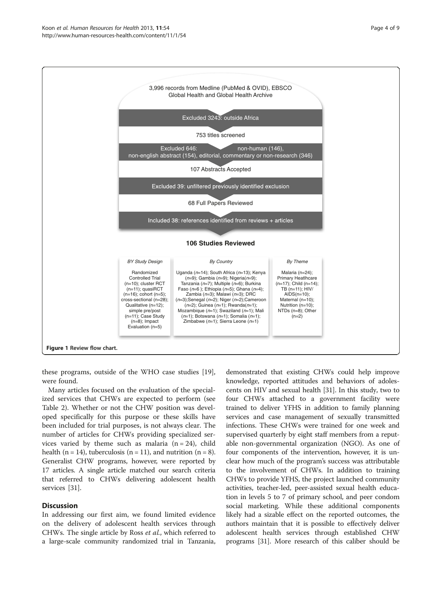<span id="page-3-0"></span>

these programs, outside of the WHO case studies [\[19](#page-7-0)], were found.

Many articles focused on the evaluation of the specialized services that CHWs are expected to perform (see Table [2](#page-5-0)). Whether or not the CHW position was developed specifically for this purpose or these skills have been included for trial purposes, is not always clear. The number of articles for CHWs providing specialized services varied by theme such as malaria  $(n = 24)$ , child health (n = 14), tuberculosis (n = 11), and nutrition (n = 8). Generalist CHW programs, however, were reported by 17 articles. A single article matched our search criteria that referred to CHWs delivering adolescent health services [[31](#page-8-0)].

# **Discussion**

In addressing our first aim, we found limited evidence on the delivery of adolescent health services through CHWs. The single article by Ross et al., which referred to a large-scale community randomized trial in Tanzania,

demonstrated that existing CHWs could help improve knowledge, reported attitudes and behaviors of adolescents on HIV and sexual health [[31](#page-8-0)]. In this study, two to four CHWs attached to a government facility were trained to deliver YFHS in addition to family planning services and case management of sexually transmitted infections. These CHWs were trained for one week and supervised quarterly by eight staff members from a reputable non-governmental organization (NGO). As one of four components of the intervention, however, it is unclear how much of the program's success was attributable to the involvement of CHWs. In addition to training CHWs to provide YFHS, the project launched community activities, teacher-led, peer-assisted sexual health education in levels 5 to 7 of primary school, and peer condom social marketing. While these additional components likely had a sizable effect on the reported outcomes, the authors maintain that it is possible to effectively deliver adolescent health services through established CHW programs [[31](#page-8-0)]. More research of this caliber should be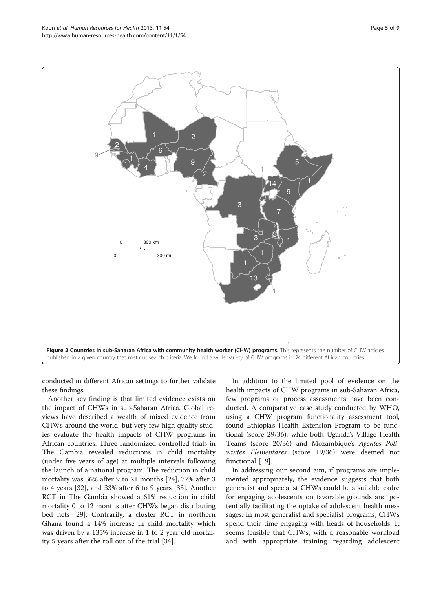<span id="page-4-0"></span>

conducted in different African settings to further validate these findings.

Another key finding is that limited evidence exists on the impact of CHWs in sub-Saharan Africa. Global reviews have described a wealth of mixed evidence from CHWs around the world, but very few high quality studies evaluate the health impacts of CHW programs in African countries. Three randomized controlled trials in The Gambia revealed reductions in child mortality (under five years of age) at multiple intervals following the launch of a national program. The reduction in child mortality was 36% after 9 to 21 months [\[24\]](#page-8-0), 77% after 3 to 4 years [[32\]](#page-8-0), and 33% after 6 to 9 years [[33\]](#page-8-0). Another RCT in The Gambia showed a 61% reduction in child mortality 0 to 12 months after CHWs began distributing bed nets [[29](#page-8-0)]. Contrarily, a cluster RCT in northern Ghana found a 14% increase in child mortality which was driven by a 135% increase in 1 to 2 year old mortality 5 years after the roll out of the trial [\[34\]](#page-8-0).

In addition to the limited pool of evidence on the health impacts of CHW programs in sub-Saharan Africa, few programs or process assessments have been conducted. A comparative case study conducted by WHO, using a CHW program functionality assessment tool, found Ethiopia's Health Extension Program to be functional (score 29/36), while both Uganda's Village Health Teams (score 20/36) and Mozambique'<sup>s</sup> Agentes Polivantes Elementares (score 19/36) were deemed not functional [\[19\]](#page-7-0).

In addressing our second aim, if programs are implemented appropriately, the evidence suggests that both generalist and specialist CHWs could be a suitable cadre for engaging adolescents on favorable grounds and potentially facilitating the uptake of adolescent health messages. In most generalist and specialist programs, CHWs spend their time engaging with heads of households. It seems feasible that CHWs, with a reasonable workload and with appropriate training regarding adolescent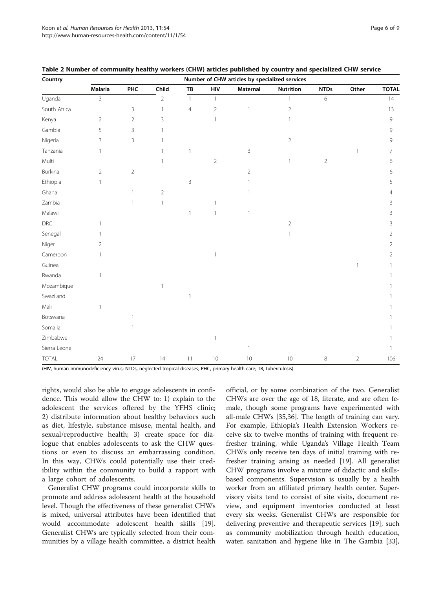(HIV, human immunodeficiency virus; NTDs, neglected tropical diseases; PHC, primary health care; TB, tuberculosis).

rights, would also be able to engage adolescents in confidence. This would allow the CHW to: 1) explain to the adolescent the services offered by the YFHS clinic; 2) distribute information about healthy behaviors such as diet, lifestyle, substance misuse, mental health, and sexual/reproductive health; 3) create space for dialogue that enables adolescents to ask the CHW questions or even to discuss an embarrassing condition. In this way, CHWs could potentially use their credibility within the community to build a rapport with a large cohort of adolescents.

Generalist CHW programs could incorporate skills to promote and address adolescent health at the household level. Though the effectiveness of these generalist CHWs is mixed, universal attributes have been identified that would accommodate adolescent health skills [\[19](#page-7-0)]. Generalist CHWs are typically selected from their communities by a village health committee, a district health official, or by some combination of the two. Generalist CHWs are over the age of 18, literate, and are often female, though some programs have experimented with all-male CHWs [\[35,36](#page-8-0)]. The length of training can vary. For example, Ethiopia's Health Extension Workers receive six to twelve months of training with frequent refresher training, while Uganda's Village Health Team CHWs only receive ten days of initial training with refresher training arising as needed [[19\]](#page-7-0). All generalist CHW programs involve a mixture of didactic and skillsbased components. Supervision is usually by a health worker from an affiliated primary health center. Supervisory visits tend to consist of site visits, document review, and equipment inventories conducted at least every six weeks. Generalist CHWs are responsible for delivering preventive and therapeutic services [\[19\]](#page-7-0), such as community mobilization through health education, water, sanitation and hygiene like in The Gambia [\[33](#page-8-0)],

<span id="page-5-0"></span>

|  |  |  | Table 2 Number of community healthy workers (CHW) articles published by country and specialized CHW service |  |  |  |  |  |  |  |  |  |  |
|--|--|--|-------------------------------------------------------------------------------------------------------------|--|--|--|--|--|--|--|--|--|--|
|--|--|--|-------------------------------------------------------------------------------------------------------------|--|--|--|--|--|--|--|--|--|--|

| Country        |                | Number of CHW articles by specialized services |                |              |                |                |                  |                |                |                |  |  |
|----------------|----------------|------------------------------------------------|----------------|--------------|----------------|----------------|------------------|----------------|----------------|----------------|--|--|
|                | <b>Malaria</b> | PHC                                            | Child          | ${\tt TB}$   | HIV            | Maternal       | <b>Nutrition</b> | <b>NTDs</b>    | Other          | <b>TOTAL</b>   |  |  |
| Uganda         | $\overline{3}$ |                                                | $\overline{a}$ | $\mathbf{1}$ | $\mathbf{1}$   |                | $\mathbf{1}$     | $\,$ 6 $\,$    |                | 14             |  |  |
| South Africa   |                | 3                                              | 1              | 4            | $\overline{2}$ | $\mathbf{1}$   | $\overline{a}$   |                |                | 13             |  |  |
| Kenya          | $\overline{2}$ | $\overline{2}$                                 | 3              |              | $\mathbf{1}$   |                | 1                |                |                | 9              |  |  |
| Gambia         | 5              | $\mathsf 3$                                    |                |              |                |                |                  |                |                | 9              |  |  |
| Nigeria        | 3              | $\mathsf 3$                                    |                |              |                |                | $\overline{2}$   |                |                | 9              |  |  |
| Tanzania       | $\mathbb{1}$   |                                                |                | $\mathbf{1}$ |                | 3              |                  |                |                | 7              |  |  |
| Multi          |                |                                                |                |              | $\overline{2}$ |                | 1                | $\overline{2}$ |                | 6              |  |  |
| Burkina        | $\sqrt{2}$     | $\overline{2}$                                 |                |              |                | $\overline{2}$ |                  |                |                | 6              |  |  |
| Ethiopia       | $\mathbf{1}$   |                                                |                | 3            |                | 1              |                  |                |                | 5              |  |  |
| Ghana          |                | $\mathbf{1}$                                   | $\overline{2}$ |              |                | 1              |                  |                |                | 4              |  |  |
| Zambia         |                | 1                                              | 1              |              |                |                |                  |                |                | 3              |  |  |
| Malawi         |                |                                                |                | $\mathbf{1}$ | 1              | 1              |                  |                |                | 3              |  |  |
| $\mathsf{DRC}$ | $\mathbf{1}$   |                                                |                |              |                |                | $\overline{a}$   |                |                | 3              |  |  |
| Senegal        |                |                                                |                |              |                |                |                  |                |                | 2              |  |  |
| Niger          | $\overline{2}$ |                                                |                |              |                |                |                  |                |                | 2              |  |  |
| Cameroon       | $\mathbf{1}$   |                                                |                |              | $\mathbf{1}$   |                |                  |                |                | $\overline{2}$ |  |  |
| Guinea         |                |                                                |                |              |                |                |                  |                |                |                |  |  |
| Rwanda         | $\mathbf{1}$   |                                                |                |              |                |                |                  |                |                |                |  |  |
| Mozambique     |                |                                                |                |              |                |                |                  |                |                |                |  |  |
| Swaziland      |                |                                                |                | $\mathbf{1}$ |                |                |                  |                |                |                |  |  |
| Mali           | $\mathbf{1}$   |                                                |                |              |                |                |                  |                |                |                |  |  |
| Botswana       |                | 1                                              |                |              |                |                |                  |                |                |                |  |  |
| Somalia        |                |                                                |                |              |                |                |                  |                |                |                |  |  |
| Zimbabwe       |                |                                                |                |              | 1              |                |                  |                |                |                |  |  |
| Sierra Leone   |                |                                                |                |              |                | 1              |                  |                |                |                |  |  |
| <b>TOTAL</b>   | 24             | 17                                             | 14             | 11           | 10             | 10             | $10$             | $\,8\,$        | $\overline{2}$ | 106            |  |  |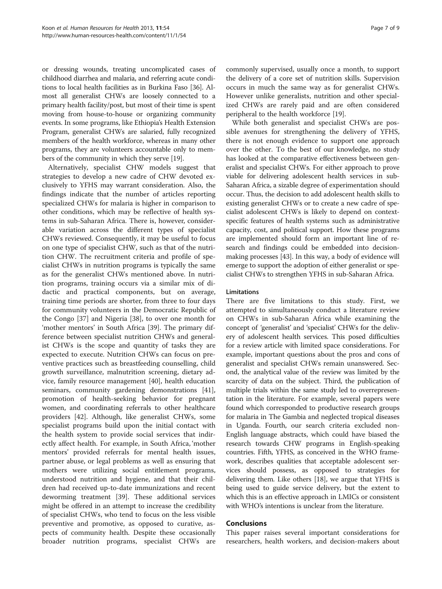or dressing wounds, treating uncomplicated cases of childhood diarrhea and malaria, and referring acute conditions to local health facilities as in Burkina Faso [\[36](#page-8-0)]. Almost all generalist CHWs are loosely connected to a primary health facility/post, but most of their time is spent moving from house-to-house or organizing community events. In some programs, like Ethiopia's Health Extension Program, generalist CHWs are salaried, fully recognized members of the health workforce, whereas in many other programs, they are volunteers accountable only to members of the community in which they serve [\[19\]](#page-7-0).

Alternatively, specialist CHW models suggest that strategies to develop a new cadre of CHW devoted exclusively to YFHS may warrant consideration. Also, the findings indicate that the number of articles reporting specialized CHWs for malaria is higher in comparison to other conditions, which may be reflective of health systems in sub-Saharan Africa. There is, however, considerable variation across the different types of specialist CHWs reviewed. Consequently, it may be useful to focus on one type of specialist CHW, such as that of the nutrition CHW. The recruitment criteria and profile of specialist CHWs in nutrition programs is typically the same as for the generalist CHWs mentioned above. In nutrition programs, training occurs via a similar mix of didactic and practical components, but on average, training time periods are shorter, from three to four days for community volunteers in the Democratic Republic of the Congo [[37\]](#page-8-0) and Nigeria [\[38\]](#page-8-0), to over one month for 'mother mentors' in South Africa [\[39\]](#page-8-0). The primary difference between specialist nutrition CHWs and generalist CHWs is the scope and quantity of tasks they are expected to execute. Nutrition CHWs can focus on preventive practices such as breastfeeding counselling, child growth surveillance, malnutrition screening, dietary advice, family resource management [[40](#page-8-0)], health education seminars, community gardening demonstrations [\[41](#page-8-0)], promotion of health-seeking behavior for pregnant women, and coordinating referrals to other healthcare providers [\[42](#page-8-0)]. Although, like generalist CHWs, some specialist programs build upon the initial contact with the health system to provide social services that indirectly affect health. For example, in South Africa, 'mother mentors' provided referrals for mental health issues, partner abuse, or legal problems as well as ensuring that mothers were utilizing social entitlement programs, understood nutrition and hygiene, and that their children had received up-to-date immunizations and recent deworming treatment [\[39\]](#page-8-0). These additional services might be offered in an attempt to increase the credibility of specialist CHWs, who tend to focus on the less visible preventive and promotive, as opposed to curative, aspects of community health. Despite these occasionally broader nutrition programs, specialist CHWs are commonly supervised, usually once a month, to support the delivery of a core set of nutrition skills. Supervision occurs in much the same way as for generalist CHWs. However unlike generalists, nutrition and other specialized CHWs are rarely paid and are often considered peripheral to the health workforce [\[19](#page-7-0)].

While both generalist and specialist CHWs are possible avenues for strengthening the delivery of YFHS, there is not enough evidence to support one approach over the other. To the best of our knowledge, no study has looked at the comparative effectiveness between generalist and specialist CHWs. For either approach to prove viable for delivering adolescent health services in sub-Saharan Africa, a sizable degree of experimentation should occur. Thus, the decision to add adolescent health skills to existing generalist CHWs or to create a new cadre of specialist adolescent CHWs is likely to depend on contextspecific features of health systems such as administrative capacity, cost, and political support. How these programs are implemented should form an important line of research and findings could be embedded into decisionmaking processes [[43](#page-8-0)]. In this way, a body of evidence will emerge to support the adoption of either generalist or specialist CHWs to strengthen YFHS in sub-Saharan Africa.

# Limitations

There are five limitations to this study. First, we attempted to simultaneously conduct a literature review on CHWs in sub-Saharan Africa while examining the concept of 'generalist' and 'specialist' CHWs for the delivery of adolescent health services. This posed difficulties for a review article with limited space considerations. For example, important questions about the pros and cons of generalist and specialist CHWs remain unanswered. Second, the analytical value of the review was limited by the scarcity of data on the subject. Third, the publication of multiple trials within the same study led to overrepresentation in the literature. For example, several papers were found which corresponded to productive research groups for malaria in The Gambia and neglected tropical diseases in Uganda. Fourth, our search criteria excluded non-English language abstracts, which could have biased the research towards CHW programs in English-speaking countries. Fifth, YFHS, as conceived in the WHO framework, describes qualities that acceptable adolescent services should possess, as opposed to strategies for delivering them. Like others [[18](#page-7-0)], we argue that YFHS is being used to guide service delivery, but the extent to which this is an effective approach in LMICs or consistent with WHO's intentions is unclear from the literature.

# Conclusions

This paper raises several important considerations for researchers, health workers, and decision-makers about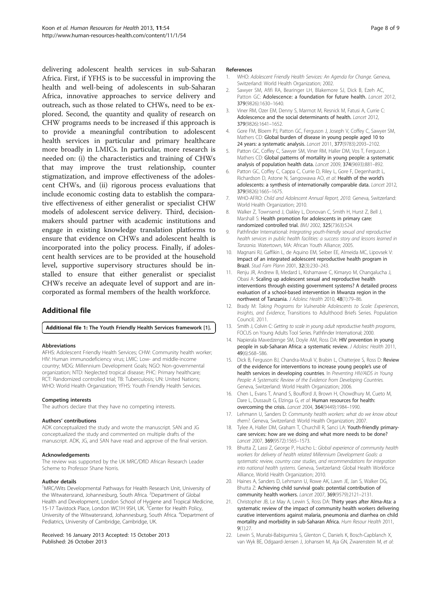<span id="page-7-0"></span>delivering adolescent health services in sub-Saharan Africa. First, if YFHS is to be successful in improving the health and well-being of adolescents in sub-Saharan Africa, innovative approaches to service delivery and outreach, such as those related to CHWs, need to be explored. Second, the quantity and quality of research on CHW programs needs to be increased if this approach is to provide a meaningful contribution to adolescent health services in particular and primary healthcare more broadly in LMICs. In particular, more research is needed on: (i) the characteristics and training of CHWs that may improve the trust relationship, counter stigmatization, and improve effectiveness of the adolescent CHWs, and (ii) rigorous process evaluations that include economic costing data to establish the comparative effectiveness of either generalist or specialist CHW models of adolescent service delivery. Third, decisionmakers should partner with academic institutions and engage in existing knowledge translation platforms to ensure that evidence on CHWs and adolescent health is incorporated into the policy process. Finally, if adolescent health services are to be provided at the household level, supportive supervisory structures should be installed to ensure that either generalist or specialist CHWs receive an adequate level of support and are incorporated as formal members of the health workforce.

# Additional file

[Additional file 1:](http://www.biomedcentral.com/content/supplementary/1478-4491-11-54-S1.docx) The Youth Friendly Health Services framework [1].

### Abbreviations

AFHS: Adolescent Friendly Health Services; CHW: Community health worker; HIV: Human immunodeficiency virus; LMIC: Low- and middle-income country; MDG: Millennium Development Goals; NGO: Non-governmental organization; NTD: Neglected tropical disease; PHC: Primary healthcare; RCT: Randomized controlled trial; TB: Tuberculosis; UN: United Nations; WHO: World Health Organization; YFHS: Youth Friendly Health Services.

#### Competing interests

The authors declare that they have no competing interests.

#### Authors' contributions

ADK conceptualized the study and wrote the manuscript. SAN and JG conceptualized the study and commented on multiple drafts of the manuscript. ADK, JG, and SAN have read and approve of the final version.

#### Acknowledgements

The review was supported by the UK MRC/DfID African Research Leader Scheme to Professor Shane Norris.

#### Author details

<sup>1</sup>MRC/Wits Developmental Pathways for Health Research Unit, University of the Witwatersrand, Johannesburg, South Africa. <sup>2</sup>Department of Global Health and Development, London School of Hygiene and Tropical Medicine, 15-17 Tavistock Place, London WC1H 9SH, UK. <sup>3</sup>Center for Health Policy, University of the Witwatersrand, Johannesburg, South Africa. <sup>4</sup>Department of Pediatrics, University of Cambridge, Cambridge, UK.

# Received: 16 January 2013 Accepted: 15 October 2013 Published: 26 October 2013

# References

- 1. WHO: Adolescent Friendly Health Services: An Agenda for Change. Geneva. Switzerland: World Health Organization; 2002.
- Sawyer SM, Afifi RA, Bearinger LH, Blakemore SJ, Dick B, Ezeh AC, Patton GC: Adolescence: a foundation for future health. Lancet 2012, 379(9826):1630–1640.
- 3. Viner RM, Ozer EM, Denny S, Marmot M, Resnick M, Fatusi A, Currie C: Adolescence and the social determinants of health. Lancet 2012, 379(9826):1641–1652.
- 4. Gore FM, Bloem PJ, Patton GC, Ferguson J, Joseph V, Coffey C, Sawyer SM, Mathers CD: Global burden of disease in young people aged 10 to 24 years: a systematic analysis. Lancet 2011, 377(9783):2093–2102.
- Patton GC, Coffey C, Sawyer SM, Viner RM, Haller DM, Vos T, Ferguson J, Mathers CD: Global patterns of mortality in young people: a systematic analysis of population health data. Lancet 2009, 374(9693):881–892.
- 6. Patton GC, Coffey C, Cappa C, Currie D, Riley L, Gore F, Degenhardt L, Richardson D, Astone N, Sangowawa AO, et al: Health of the world's adolescents: a synthesis of internationally comparable data. Lancet 2012, 379(9826):1665–1675.
- 7. WHO-AFRO: Child and Adolescent Annual Report, 2010. Geneva, Switzerland: World Health Organization; 2010.
- 8. Walker Z, Townsend J, Oakley L, Donovan C, Smith H, Hurst Z, Bell J, Marshall S: Health promotion for adolescents in primary care: randomized controlled trial. BMJ 2002, 325(7363):524.
- 9. Pathfinder International: Integrating youth-friendly sexual and reproductive health services in public health facilities: a success story and lessons learned in Tanzania. Watertown, MA: African Youth Alliance; 2005.
- 10. Magnani RJ, Gaffikin L, de Aquino EM, Seiber EE, Almeida MC, Lipovsek V: Impact of an integrated adolescent reproductive health program in Brazil. Stud Fam Plann 2001, 32(3):230–243.
- 11. Renju JR, Andrew B, Medard L, Kishamawe C, Kimaryo M, Changalucha J, Obasi A: Scaling up adolescent sexual and reproductive health interventions through existing government systems? A detailed process evaluation of a school-based intervention in Mwanza region in the northwest of Tanzania. J Adolesc Health 2010, 48(1):79–86.
- 12. Brady M: Taking Programs for Vulnerable Adolescents to Scale: Experiences, Insights, and Evidence, Transitions to Adulthood Briefs Series. Population Council; 2011.
- 13. Smith J, Colvin C: Getting to scale in young adult reproductive health programs, FOCUS on Young Adults Tool Series. Pathfinder International; 2000.
- 14. Napierala Mavedzenge SM, Doyle AM, Ross DA: HIV prevention in young people in sub-Saharan Africa: a systematic review. J Adolesc Health 2011, 49(6):568–586.
- 15. Dick B, Ferguson BJ, Chandra-Mouli V, Brabin L, Chatterjee S, Ross D: Review of the evidence for interventions to increase young people's use of health services in developing countries. In Preventing HIV/AIDS in Young People: A Systematic Review of the Evidence from Developing Countries. Geneva, Switzerland: World Health Organization; 2006.
- 16. Chen L, Evans T, Anand S, Boufford JI, Brown H, Chowdhury M, Cueto M, Dare L, Dussault G, Elzinga G, et al: Human resources for health: overcoming the crisis. Lancet 2004, 364(9449):1984–1990.
- 17. Lehmann U, Sanders D: Community health workers: what do we know about them?. Geneva, Switzerland: World Health Organization; 2007.
- 18. Tylee A, Haller DM, Graham T, Churchill R, Sanci LA: Youth-friendly primarycare services: how are we doing and what more needs to be done? Lancet 2007, 369(9572):1565–1573.
- 19. Bhutta Z, Lassi Z, George P, Huicho L: Global experience of community health workers for delivery of health related Millennium Development Goals: a systematic review, country case studies, and recommendations for integration into national health systems. Geneva, Switzerland: Global Health Workforce Alliance, World Health Organization; 2010.
- 20. Haines A, Sanders D, Lehmann U, Rowe AK, Lawn JE, Jan S, Walker DG, Bhutta Z: Achieving child survival goals: potential contribution of community health workers. Lancet 2007, 369(9579):2121–2131.
- 21. Christopher JB, Le May A, Lewin S, Ross DA: Thirty years after Alma-Ata: a systematic review of the impact of community health workers delivering curative interventions against malaria, pneumonia and diarrhea on child mortality and morbidity in sub-Saharan Africa. Hum Resour Health 2011, 9(1):27.
- 22. Lewin S, Munabi-Babigumira S, Glenton C, Daniels K, Bosch-Capblanch X, van Wyk BE, Odgaard-Jensen J, Johansen M, Aja GN, Zwarenstein M, et al: